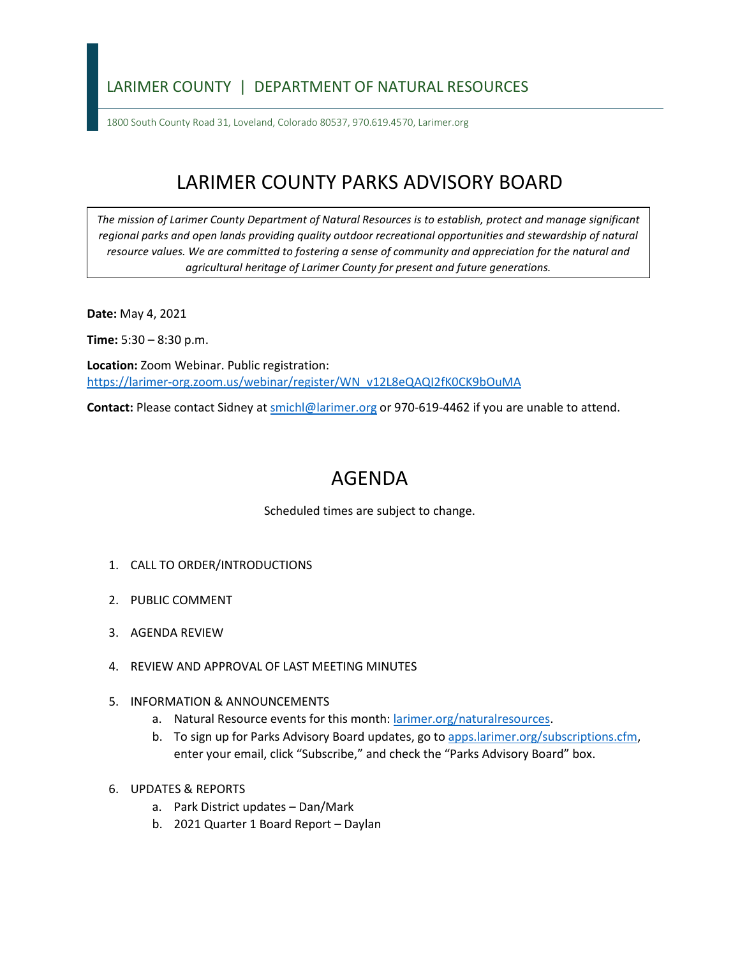## LARIMER COUNTY | DEPARTMENT OF NATURAL RESOURCES

1800 South County Road 31, Loveland, Colorado 80537, 970.619.4570, Larimer.org

## LARIMER COUNTY PARKS ADVISORY BOARD

*The mission of Larimer County Department of Natural Resources is to establish, protect and manage significant*  regional parks and open lands providing quality outdoor recreational opportunities and stewardship of natural *resource values. We are committed to fostering a sense of community and appreciation for the natural and agricultural heritage of Larimer County for present and future generations.*

**Date:** May 4, 2021

**Time:** 5:30 – 8:30 p.m.

**Location:** Zoom Webinar. Public registration: [https://larimer-org.zoom.us/webinar/register/WN\\_v12L8eQAQI2fK0CK9bOuMA](https://larimer-org.zoom.us/webinar/register/WN_v12L8eQAQI2fK0CK9bOuMA)

**Contact:** Please contact Sidney a[t smichl@larimer.org](mailto:smichl@larimer.org) or 970-619-4462 if you are unable to attend.

## AGENDA

Scheduled times are subject to change.

- 1. CALL TO ORDER/INTRODUCTIONS
- 2. PUBLIC COMMENT
- 3. AGENDA REVIEW
- 4. REVIEW AND APPROVAL OF LAST MEETING MINUTES
- 5. INFORMATION & ANNOUNCEMENTS
	- a. Natural Resource events for this month: [larimer.org/naturalresources.](https://www.larimer.org/naturalresources)
	- b. To sign up for Parks Advisory Board updates, go to [apps.larimer.org/subscriptions.cfm,](https://apps.larimer.org/subscriptions.cfm) enter your email, click "Subscribe," and check the "Parks Advisory Board" box.
- 6. UPDATES & REPORTS
	- a. Park District updates Dan/Mark
	- b. 2021 Quarter 1 Board Report Daylan